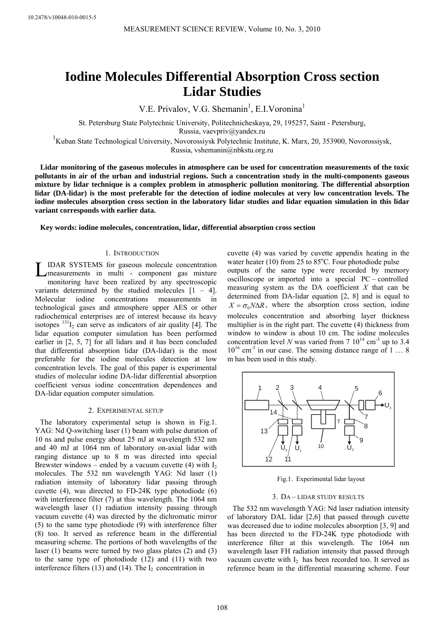# **Iodine Molecules Differential Absorption Cross section Lidar Studies**

V.E. Privalov, V.G. Shemanin<sup>1</sup>, E.I.Voronina<sup>1</sup>

St. Petersburg State Polytechnic University, Politechnicheskaya, 29, 195257, Saint - Petersburg, Russia, [vaevpriv@yandex.ru](mailto:vaevpriv@yandex.ru) 

<sup>1</sup>Kuban State Technological University, Novorossiysk Polytechnic Institute, K. Marx, 20, 353900, Novorossiysk, Russia, vshemanin@nbkstu.org.ru

**Lidar monitoring of the gaseous molecules in atmosphere can be used for concentration measurements of the toxic pollutants in air of the urban and industrial regions. Such a concentration study in the multi-components gaseous mixture by lidar technique is a complex problem in atmospheric pollution monitoring. The differential absorption lidar (DA-lidar) is the most preferable for the detection of iodine molecules at very low concentration levels. The iodine molecules absorption cross section in the laboratory lidar studies and lidar equation simulation in this lidar variant corresponds with earlier data.** 

**Key words: iodine molecules, concentration, lidar, differential absorption cross section** 

# 1. INTRODUCTION

IDAR SYSTEMS for gaseous molecule concentration measurements in multi - component gas mixture monitoring have been realized by any spectroscopic variants determined by the studied molecules [1 – 4]. Molecular iodine concentrations measurements in technological gases and atmosphere upper AES or other radiochemical enterprises are of interest because its heavy isotopes  $131I_2$  can serve as indicators of air quality [4]. The lidar equation computer simulation has been performed earlier in [2, 5, 7] for all lidars and it has been concluded that differential absorption lidar (DA-lidar) is the most preferable for the iodine molecules detection at low concentration levels. The goal of this paper is experimental studies of molecular iodine DA-lidar differential absorption coefficient versus iodine concentration dependences and DA-lidar equation computer simulation. L

## 2. EXPERIMENTAL SETUP

The laboratory experimental setup is shown in Fig.1. YAG: Nd Q-switching laser (1) beam with pulse duration of 10 ns and pulse energy about 25 mJ at wavelength 532 nm and 40 mJ at 1064 nm of laboratory on-axial lidar with ranging distance up to 8 m was directed into special Brewster windows – ended by a vacuum cuvette (4) with  $I_2$ molecules. The 532 nm wavelength YAG: Nd laser (1) radiation intensity of laboratory lidar passing through cuvette (4), was directed to FD-24K type photodiode (6) with interference filter (7) at this wavelength. The 1064 nm wavelength laser (1) radiation intensity passing through vacuum cuvette (4) was directed by the dichromatic mirror (5) to the same type photodiode (9) with interference filter (8) too. It served as reference beam in the differential measuring scheme. The portions of both wavelengths of the laser (1) beams were turned by two glass plates (2) and (3) to the same type of photodiode (12) and (11) with two interference filters (13) and (14). The  $I_2$  concentration in

cuvette (4) was varied by cuvette appendix heating in the water heater (10) from  $25$  to  $85^{\circ}$ C. Four photodiode pulse outputs of the same type were recorded by memory oscilloscope or imported into a special PC – controlled measuring system as the DA coefficient *X* that can be determined from DA-lidar equation [2, 8] and is equal to  $X = \sigma_0 N \Delta R$ , where the absorption cross section, iodine molecules concentration and absorbing layer thickness multiplier is in the right part. The cuvette (4) thickness from window to window is about 10 cm. The iodine molecules concentration level *N* was varied from 7  $10^{14}$  cm<sup>-3</sup> up to 3.4  $10^{16}$  cm<sup>-3</sup> in our case. The sensing distance range of 1 ... 8 m has been used in this study.



Fig.1. Experimental lidar layout

# 3. DA – LIDAR STUDY RESULTS

The 532 nm wavelength YAG: Nd laser radiation intensity of laboratory DAL lidar [2,6] that passed through cuvette was decreased due to iodine molecules absorption [3, 9] and has been directed to the FD-24K type photodiode with interference filter at this wavelength. The 1064 nm wavelength laser FH radiation intensity that passed through vacuum cuvette with  $I_2$  has been recorded too. It served as reference beam in the differential measuring scheme. Four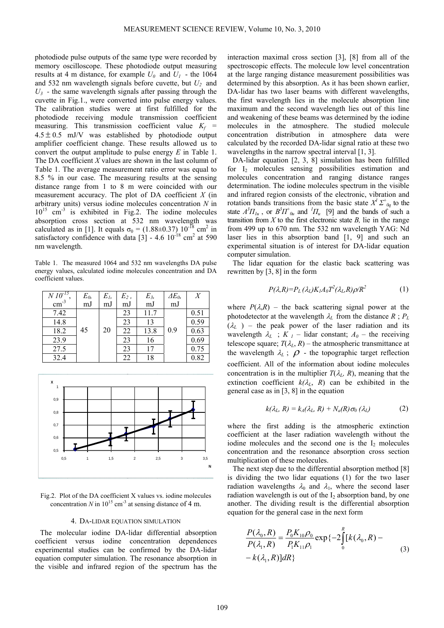photodiode pulse outputs of the same type were recorded by memory oscilloscope. These photodiode output measuring results at 4 m distance, for example  $U_0$  and  $U_1$  - the 1064 and 532 nm wavelength signals before cuvette, but *U2* and  $U_3$  - the same wavelength signals after passing through the cuvette in Fig.1., were converted into pulse energy values. The calibration studies were at first fulfilled for the photodiode receiving module transmission coefficient measuring. This transmission coefficient value  $K_f$  =  $4.5 \pm 0.5$  mJ/V was established by photodiode output amplifier coefficient change. These results allowed us to convert the output amplitude to pulse energy *E* in Table 1. The DA coefficient *X* values are shown in the last column of Table 1. The average measurement ratio error was equal to 8.5 % in our case. The measuring results at the sensing distance range from 1 to 8 m were coincided with our measurement accuracy. The plot of DA coefficient *X* (in arbitrary units) versus iodine molecules concentration *N* in  $10^{15}$  cm<sup>-3</sup> is exhibited in Fig.2. The iodine molecules absorption cross section at 532 nm wavelength was calculated as in [1]. It equals  $\sigma_0 = (1.88 \pm 0.37) 10^{-18}$  cm<sup>2</sup> in satisfactory confidence with data  $[3]$  - 4.6  $10^{-18}$  cm<sup>2</sup> at 590 nm wavelength.

Table 1. The measured 1064 and 532 nm wavelengths DA pulse energy values, calculated iodine molecules concentration and DA coefficient values.

| $\frac{N \overline{10^{-15}}}{\text{cm}^3}$ | $E_{0}$<br>mJ | $E_I$ | $E_2$ , | E3,  | $\Delta E_0$ | X    |
|---------------------------------------------|---------------|-------|---------|------|--------------|------|
|                                             |               | mJ    | mJ      | mJ   | mJ           |      |
| 7.42                                        |               |       | 23      | 11.7 |              | 0.51 |
| 14.8                                        |               |       | 23      | 13   |              | 0.59 |
| 18.2                                        | 45            | 20    | 22      | 13.8 | 0.9          | 0.63 |
| 23.9                                        |               |       | 23      | 16   |              | 0.69 |
| 27.5                                        |               |       | 23      | 17   |              | 0.75 |
| 32.4                                        |               |       | 22      | 18   |              | 0.82 |



Fig.2. Plot of the DA coefficient X values vs. iodine molecules concentration *N* in  $10^{15}$  cm<sup>-3</sup> at sensing distance of 4 m.

### 4. DA-LIDAR EQUATION SIMULATION

The molecular iodine DA-lidar differential absorption coefficient versus iodine concentration dependences experimental studies can be confirmed by the DA-lidar equation computer simulation. The resonance absorption in the visible and infrared region of the spectrum has the

interaction maximal cross section [3], [8] from all of the spectroscopic effects. The molecule low level concentration at the large ranging distance measurement possibilities was determined by this absorption. As it has been shown earlier, DA-lidar has two laser beams with different wavelengths, the first wavelength lies in the molecule absorption line maximum and the second wavelength lies out of this line and weakening of these beams was determined by the iodine molecules in the atmosphere. The studied molecule concentration distribution in atmosphere data were calculated by the recorded DA-lidar signal ratio at these two wavelengths in the narrow spectral interval [1, 3].

DA-lidar equation [2, 3, 8] simulation has been fulfilled for  $I_2$  molecules sensing possibilities estimation and molecules concentration and ranging distance ranges determination. The iodine molecules spectrum in the visible and infrared region consists of the electronic, vibration and rotation bands transitions from the basic state  $X^I \Sigma^+_{0q}$  to the state  $A^3\Pi_{1u}$ , or  $B^3\Pi_{0u}^+$  and  ${}^1\Pi_u$  [9] and the bands of such a transition from  $X$  to the first electronic state  $B$ , lie in the range from 499 up to 670 nm. The 532 nm wavelength YAG: Nd laser lies in this absorption band [1, 9] and such an experimental situation is of interest for DA-lidar equation computer simulation.

The lidar equation for the elastic back scattering was rewritten by [3, 8] in the form

$$
P(\lambda, R) = P_L(\lambda_L) K_I A_0 T^2(\lambda_L, R) \rho / R^2 \tag{1}
$$

where  $P(\lambda, R)$  – the back scattering signal power at the photodetector at the wavelength  $\lambda_L$  from the distance  $R$ ;  $P_L$  $(\lambda_L)$  – the peak power of the laser radiation and its wavelength  $\lambda_L$  ;  $K_l$  – lidar constant;  $A_0$  – the receiving telescope square;  $T(\lambda_L, R)$  – the atmospheric transmittance at the wavelength  $\lambda_L$ ;  $\rho$  - the topographic target reflection coefficient. All of the information about iodine molecules concentration is in the multiplier  $T(\lambda_L, R)$ , meaning that the extinction coefficient  $k(\lambda_L, R)$  can be exhibited in the general case as in [3, 8] in the equation

$$
k(\lambda_L, R) = k_A(\lambda_L, R) + N_a(R)\sigma_0(\lambda_L)
$$
 (2)

where the first adding is the atmospheric extinction coefficient at the laser radiation wavelength without the iodine molecules and the second one is the  $I_2$  molecules concentration and the resonance absorption cross section multiplication of these molecules.

The next step due to the differential absorption method [8] is dividing the two lidar equations (1) for the two laser radiation wavelengths  $\lambda_0$  and  $\lambda_1$ , where the second laser radiation wavelength is out of the  $I_2$  absorption band, by one another. The dividing result is the differential absorption equation for the general case in the next form

$$
\frac{P(\lambda_0, R)}{P(\lambda_1, R)} = \frac{P_0 K_{10} \rho_0}{P_1 K_{11} \rho_1} \exp\{-2 \int_0^R [k(\lambda_0, R) - k(\lambda_1, R)] dR\}
$$
\n(3)